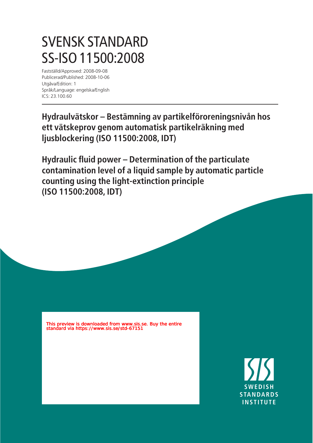# SVENSK STANDARD SS-ISO 11500:2008

Fastställd/Approved: 2008-09-08 Publicerad/Published: 2008-10-06 Utgåva/Edition: 1 Språk/Language: engelska/English ICS: 23.100.60

**Hydraulvätskor – Bestämning av partikelföroreningsnivån hos ett vätskeprov genom automatisk partikelräkning med ljusblockering (ISO 11500:2008, IDT)**

**Hydraulic fluid power – Determination of the particulate contamination level of a liquid sample by automatic particle counting using the light-extinction principle (ISO 11500:2008, IDT)**

This preview is downloaded from www.sis.se. Buy the entire standard via https://www.sis.se/std-67151

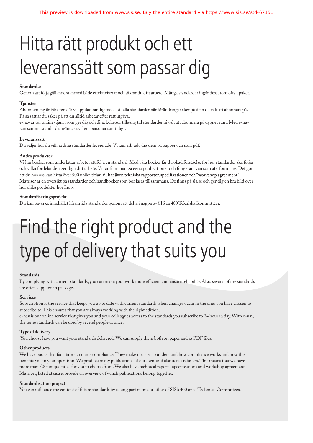# Hitta rätt produkt och ett leveranssätt som passar dig

#### **Standarder**

Genom att följa gällande standard både effektiviserar och säkrar du ditt arbete. Många standarder ingår dessutom ofta i paket.

#### **Tjänster**

Abonnemang är tjänsten där vi uppdaterar dig med aktuella standarder när förändringar sker på dem du valt att abonnera på. På så sätt är du säker på att du alltid arbetar efter rätt utgåva.

e-nav är vår online-tjänst som ger dig och dina kollegor tillgång till standarder ni valt att abonnera på dygnet runt. Med e-nav kan samma standard användas av flera personer samtidigt.

#### **Leveranssätt**

Du väljer hur du vill ha dina standarder levererade. Vi kan erbjuda dig dem på papper och som pdf.

#### **Andra produkter**

Vi har böcker som underlättar arbetet att följa en standard. Med våra böcker får du ökad förståelse för hur standarder ska följas och vilka fördelar den ger dig i ditt arbete. Vi tar fram många egna publikationer och fungerar även som återförsäljare. Det gör att du hos oss kan hitta över 500 unika titlar. Vi har även tekniska rapporter, specifikationer och "workshop agreement". Matriser är en översikt på standarder och handböcker som bör läsas tillsammans. De finns på sis.se och ger dig en bra bild över hur olika produkter hör ihop.

#### **Standardiseringsprojekt**

Du kan påverka innehållet i framtida standarder genom att delta i någon av SIS ca 400 Tekniska Kommittéer.

# Find the right product and the type of delivery that suits you

#### **Standards**

By complying with current standards, you can make your work more efficient and ensure reliability. Also, several of the standards are often supplied in packages.

#### **Services**

Subscription is the service that keeps you up to date with current standards when changes occur in the ones you have chosen to subscribe to. This ensures that you are always working with the right edition.

e-nav is our online service that gives you and your colleagues access to the standards you subscribe to 24 hours a day. With e-nav, the same standards can be used by several people at once.

#### **Type of delivery**

You choose how you want your standards delivered. We can supply them both on paper and as PDF files.

#### **Other products**

We have books that facilitate standards compliance. They make it easier to understand how compliance works and how this benefits you in your operation. We produce many publications of our own, and also act as retailers. This means that we have more than 500 unique titles for you to choose from. We also have technical reports, specifications and workshop agreements. Matrices, listed at sis.se, provide an overview of which publications belong together.

#### **Standardisation project**

You can influence the content of future standards by taking part in one or other of SIS's 400 or so Technical Committees.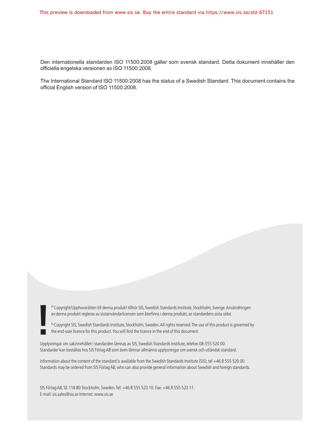Den internationella standarden ISO 11500:2008 gäller som svensk standard. Detta dokument innehåller den officiella engelska versionen av ISO 11500:2008.

The International Standard ISO 11500:2008 has the status of a Swedish Standard. This document contains the official English version of ISO 11500:2008.

av denna produkt regleras av slutanvändarlicensen som återfinns i denna produkt, se standardens sista sidor.

<sup>©</sup> Copyright/Upphovsrätten till denna produkt tillhör SIS, Swedish Standards Institute, Stockholm, Sverige. Användningen<br>av denna produkt regleras av slutanvändarlicensen som återfinns i denna produkt, se standardens sis

Upplysningar om sakinnehållet i standarden lämnas av SIS, Swedish Standards Institute, telefon 08-555 520 00. Standarder kan beställas hos SIS Förlag AB som även lämnar allmänna upplysningar om svensk och utländsk standard.

Information about the content of the standard is available from the Swedish Standards Institute (SIS), tel +46 8 555 520 00. Standards may be ordered from SIS Förlag AB, who can also provide general information about Swedish and foreign standards.

SIS Förlag AB, SE 118 80 Stockholm, Sweden. Tel: +46 8 555 523 10. Fax: +46 8 555 523 11. E-mail: sis.sales@sis.se Internet: www.sis.se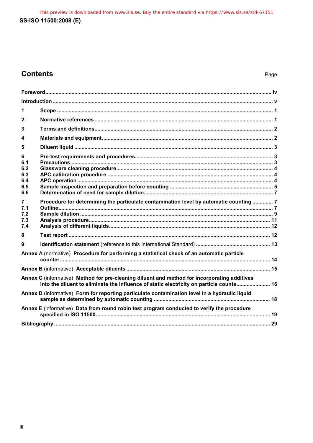This preview is downloaded from www.sis.se. Buy the entire standard via https://www.sis.se/std-67151 SS-ISO 11500:2008 (E)

# **Contents**

| 1                             |                                                                                                                                                                                         |  |
|-------------------------------|-----------------------------------------------------------------------------------------------------------------------------------------------------------------------------------------|--|
| $\mathbf{2}$                  |                                                                                                                                                                                         |  |
| 3                             |                                                                                                                                                                                         |  |
| 4                             |                                                                                                                                                                                         |  |
| 5                             |                                                                                                                                                                                         |  |
| 6<br>6.1<br>6.2               |                                                                                                                                                                                         |  |
| 6.3<br>6.4                    |                                                                                                                                                                                         |  |
| 6.5<br>6.6                    |                                                                                                                                                                                         |  |
| 7<br>7.1<br>7.2<br>7.3<br>7.4 | Procedure for determining the particulate contamination level by automatic counting  7                                                                                                  |  |
| 8                             |                                                                                                                                                                                         |  |
| 9                             |                                                                                                                                                                                         |  |
|                               | Annex A (normative) Procedure for performing a statistical check of an automatic particle                                                                                               |  |
|                               |                                                                                                                                                                                         |  |
|                               | Annex C (informative) Method for pre-cleaning diluent and method for incorporating additives<br>into the diluent to eliminate the influence of static electricity on particle counts 16 |  |
|                               | Annex D (informative) Form for reporting particulate contamination level in a hydraulic liquid                                                                                          |  |
|                               | Annex E (informative) Data from round robin test program conducted to verify the procedure                                                                                              |  |
|                               |                                                                                                                                                                                         |  |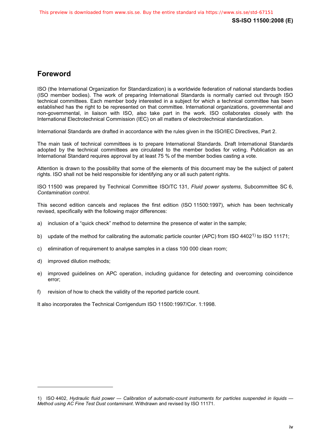### **Foreword**

ISO (the International Organization for Standardization) is a worldwide federation of national standards bodies (ISO member bodies). The work of preparing International Standards is normally carried out through ISO technical committees. Each member body interested in a subject for which a technical committee has been established has the right to be represented on that committee. International organizations, governmental and non-governmental, in liaison with ISO, also take part in the work. ISO collaborates closely with the International Electrotechnical Commission (IEC) on all matters of electrotechnical standardization.

International Standards are drafted in accordance with the rules given in the ISO/IEC Directives, Part 2.

The main task of technical committees is to prepare International Standards. Draft International Standards adopted by the technical committees are circulated to the member bodies for voting. Publication as an International Standard requires approval by at least 75 % of the member bodies casting a vote.

Attention is drawn to the possibility that some of the elements of this document may be the subject of patent rights. ISO shall not be held responsible for identifying any or all such patent rights.

ISO 11500 was prepared by Technical Committee ISO/TC 131, *Fluid power systems*, Subcommittee SC 6, *Contamination control*.

This second edition cancels and replaces the first edition (ISO 11500:1997), which has been technically revised, specifically with the following major differences:

- a) inclusion of a "quick check" method to determine the presence of water in the sample;
- b) update of the method for calibrating the automatic particle counter (APC) from ISO 4402<sup>1</sup>) to ISO 11171;
- c) elimination of requirement to analyse samples in a class 100 000 clean room;
- d) improved dilution methods;

 $\overline{a}$ 

- e) improved guidelines on APC operation, including guidance for detecting and overcoming coincidence error;
- f) revision of how to check the validity of the reported particle count.

It also incorporates the Technical Corrigendum ISO 11500:1997/Cor. 1:1998.

<sup>1)</sup> ISO 4402, *Hydraulic fluid power — Calibration of automatic-count instruments for particles suspended in liquids — Method using AC Fine Test Dust contaminant*. Withdrawn and revised by ISO 11171.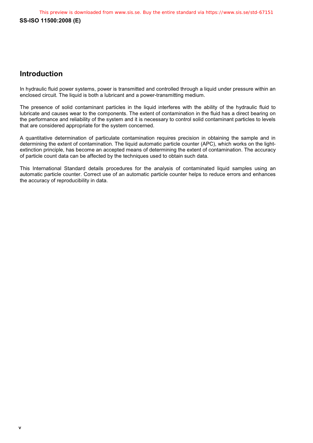### **Introduction**

In hydraulic fluid power systems, power is transmitted and controlled through a liquid under pressure within an enclosed circuit. The liquid is both a lubricant and a power-transmitting medium.

The presence of solid contaminant particles in the liquid interferes with the ability of the hydraulic fluid to lubricate and causes wear to the components. The extent of contamination in the fluid has a direct bearing on the performance and reliability of the system and it is necessary to control solid contaminant particles to levels that are considered appropriate for the system concerned.

A quantitative determination of particulate contamination requires precision in obtaining the sample and in determining the extent of contamination. The liquid automatic particle counter (APC), which works on the lightextinction principle, has become an accepted means of determining the extent of contamination. The accuracy of particle count data can be affected by the techniques used to obtain such data.

This International Standard details procedures for the analysis of contaminated liquid samples using an automatic particle counter. Correct use of an automatic particle counter helps to reduce errors and enhances the accuracy of reproducibility in data.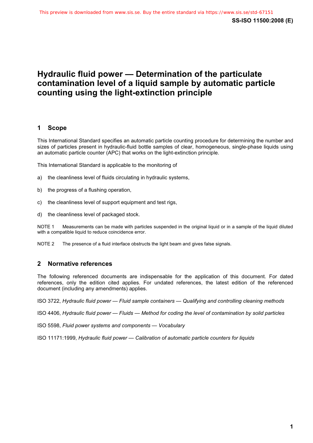## **Hydraulic fluid power — Determination of the particulate contamination level of a liquid sample by automatic particle counting using the light-extinction principle**

#### **1 Scope**

This International Standard specifies an automatic particle counting procedure for determining the number and sizes of particles present in hydraulic-fluid bottle samples of clear, homogeneous, single-phase liquids using an automatic particle counter (APC) that works on the light-extinction principle.

This International Standard is applicable to the monitoring of

- a) the cleanliness level of fluids circulating in hydraulic systems,
- b) the progress of a flushing operation,
- c) the cleanliness level of support equipment and test rigs,
- d) the cleanliness level of packaged stock.

NOTE 1 Measurements can be made with particles suspended in the original liquid or in a sample of the liquid diluted with a compatible liquid to reduce coincidence error.

NOTE 2 The presence of a fluid interface obstructs the light beam and gives false signals.

#### **2 Normative references**

The following referenced documents are indispensable for the application of this document. For dated references, only the edition cited applies. For undated references, the latest edition of the referenced document (including any amendments) applies.

ISO 3722, *Hydraulic fluid power — Fluid sample containers — Qualifying and controlling cleaning methods*

ISO 4406, *Hydraulic fluid power — Fluids — Method for coding the level of contamination by solid particles*

ISO 5598, *Fluid power systems and components — Vocabulary*

ISO 11171:1999, *Hydraulic fluid power — Calibration of automatic particle counters for liquids*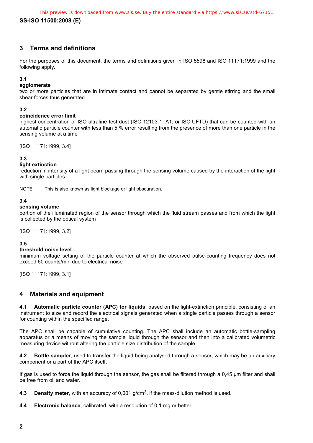#### **3 Terms and definitions**

For the purposes of this document, the terms and definitions given in ISO 5598 and ISO 11171:1999 and the following apply.

#### **3.1**

#### **agglomerate**

two or more particles that are in intimate contact and cannot be separated by gentle stirring and the small shear forces thus generated

#### **3.2**

#### **coincidence error limit**

highest concentration of ISO ultrafine test dust (ISO 12103-1, A1, or ISO UFTD) that can be counted with an automatic particle counter with less than 5 % error resulting from the presence of more than one particle in the sensing volume at a time

[ISO 11171:1999, 3.4]

#### **3.3**

#### **light extinction**

reduction in intensity of a light beam passing through the sensing volume caused by the interaction of the light with single particles

NOTE This is also known as light blockage or light obscuration.

#### **3.4**

#### **sensing volume**

portion of the illuminated region of the sensor through which the fluid stream passes and from which the light is collected by the optical system

[ISO 11171:1999, 3.2]

#### **3.5**

#### **threshold noise level**

minimum voltage setting of the particle counter at which the observed pulse-counting frequency does not exceed 60 counts/min due to electrical noise

[ISO 11171:1999, 3.1]

#### **4 Materials and equipment**

**4.1 Automatic particle counter (APC) for liquids**, based on the light-extinction principle, consisting of an instrument to size and record the electrical signals generated when a single particle passes through a sensor for counting within the specified range.

The APC shall be capable of cumulative counting. The APC shall include an automatic bottle-sampling apparatus or a means of moving the sample liquid through the sensor and then into a calibrated volumetric measuring device without altering the particle size distribution of the sample.

**4.2 Bottle sampler**, used to transfer the liquid being analysed through a sensor, which may be an auxiliary component or a part of the APC itself.

If gas is used to force the liquid through the sensor, the gas shall be filtered through a 0,45 μm filter and shall be free from oil and water.

- **4.3 Density meter**, with an accuracy of 0,001 g/cm3, if the mass-dilution method is used.
- **4.4 Electronic balance**, calibrated, with a resolution of 0,1 mg or better.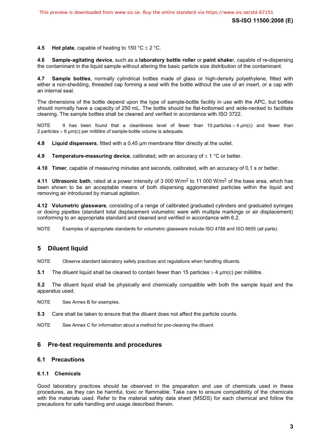#### **4.5 Hot plate**, capable of heating to  $150 \degree C \pm 2 \degree C$ .

**4.6 Sample-agitating device**, such as a **laboratory bottle roller** or **paint shake**r, capable of re-dispersing the contaminant in the liquid sample without altering the basic particle size distribution of the contaminant.

**4.7 Sample bottles**, normally cylindrical bottles made of glass or high-density polyethylene, fitted with either a non-shedding, threaded cap forming a seal with the bottle without the use of an insert, or a cap with an internal seal.

The dimensions of the bottle depend upon the type of sample-bottle facility in use with the APC, but bottles should normally have a capacity of 250 mL. The bottle should be flat-bottomed and wide-necked to facilitate cleaning. The sample bottles shall be cleaned and verified in accordance with ISO 3722.

NOTE It has been found that a cleanliness level of fewer than 10 particles  $>$  4  $\mu$ m(c) and fewer than 2 particles  $> 6 \mu m(c)$  per millilitre of sample-bottle volume is adequate.

**4.8 Liquid dispensers**, fitted with a 0,45 μm membrane filter directly at the outlet.

**4.9 Temperature-measuring device**, calibrated, with an accuracy of  $\pm$  1 °C or better.

**4.10 Timer**, capable of measuring minutes and seconds, calibrated, with an accuracy of 0,1 s or better.

**4.11 Ultrasonic bath**, rated at a power intensity of 3 000 W/m2 to 11 000 W/m2 of the base area, which has been shown to be an acceptable means of both dispersing agglomerated particles within the liquid and removing air introduced by manual agitation.

**4.12 Volumetric glassware**, consisting of a range of calibrated graduated cylinders and graduated syringes or dosing pipettes (standard total displacement volumetric ware with multiple markings or air displacement) conforming to an appropriate standard and cleaned and verified in accordance with 6.2.

NOTE Examples of appropriate standards for volumetric glassware include ISO 4788 and ISO 8655 (all parts).

#### **5 Diluent liquid**

NOTE Observe standard laboratory safety practices and regulations when handling diluents.

**5.1** The diluent liquid shall be cleaned to contain fewer than 15 particles  $>$  4  $\mu$ m(c) per millilitre.

**5.2** The diluent liquid shall be physically and chemically compatible with both the sample liquid and the apparatus used.

NOTE See Annex B for examples.

**5.3** Care shall be taken to ensure that the diluent does not affect the particle counts.

NOTE See Annex C for information about a method for pre-cleaning the diluent.

#### **6 Pre-test requirements and procedures**

#### **6.1 Precautions**

#### **6.1.1 Chemicals**

Good laboratory practices should be observed in the preparation and use of chemicals used in these procedures, as they can be harmful, toxic or flammable. Take care to ensure compatibility of the chemicals with the materials used. Refer to the material safety data sheet (MSDS) for each chemical and follow the precautions for safe handling and usage described therein.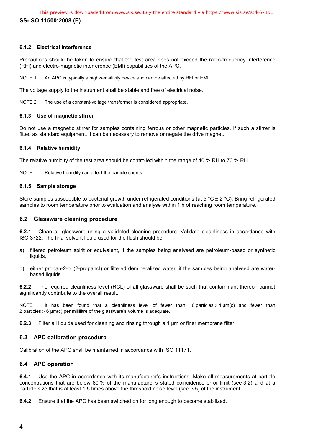#### **6.1.2 Electrical interference**

Precautions should be taken to ensure that the test area does not exceed the radio-frequency interference (RFI) and electro-magnetic interference (EMI) capabilities of the APC.

NOTE 1 An APC is typically a high-sensitivity device and can be affected by RFI or EMI.

The voltage supply to the instrument shall be stable and free of electrical noise.

NOTE 2 The use of a constant-voltage transformer is considered appropriate.

#### **6.1.3 Use of magnetic stirrer**

Do not use a magnetic stirrer for samples containing ferrous or other magnetic particles. If such a stirrer is fitted as standard equipment, it can be necessary to remove or negate the drive magnet.

#### **6.1.4 Relative humidity**

The relative humidity of the test area should be controlled within the range of 40 % RH to 70 % RH.

NOTE Relative humidity can affect the particle counts.

#### **6.1.5 Sample storage**

Store samples susceptible to bacterial growth under refrigerated conditions (at 5 °C  $\pm$  2 °C). Bring refrigerated samples to room temperature prior to evaluation and analyse within 1 h of reaching room temperature.

#### **6.2 Glassware cleaning procedure**

**6.2.1** Clean all glassware using a validated cleaning procedure. Validate cleanliness in accordance with ISO 3722. The final solvent liquid used for the flush should be

- a) filtered petroleum spirit or equivalent, if the samples being analysed are petroleum-based or synthetic liquids,
- b) either propan-2-ol (2-propanol) or filtered demineralized water, if the samples being analysed are waterbased liquids.

**6.2.2** The required cleanliness level (RCL) of all glassware shall be such that contaminant thereon cannot significantly contribute to the overall result.

NOTE It has been found that a cleanliness level of fewer than 10 particles  $>$  4  $\mu$ m(c) and fewer than 2 particles  $> 6 \mu m(c)$  per millilitre of the glassware's volume is adequate.

**6.2.3** Filter all liquids used for cleaning and rinsing through a 1 μm or finer membrane filter.

#### **6.3 APC calibration procedure**

Calibration of the APC shall be maintained in accordance with ISO 11171.

#### **6.4 APC operation**

**6.4.1** Use the APC in accordance with its manufacturer's instructions. Make all measurements at particle concentrations that are below 80 % of the manufacturer's stated coincidence error limit (see 3.2) and at a particle size that is at least 1,5 times above the threshold noise level (see 3.5) of the instrument.

**6.4.2** Ensure that the APC has been switched on for long enough to become stabilized.